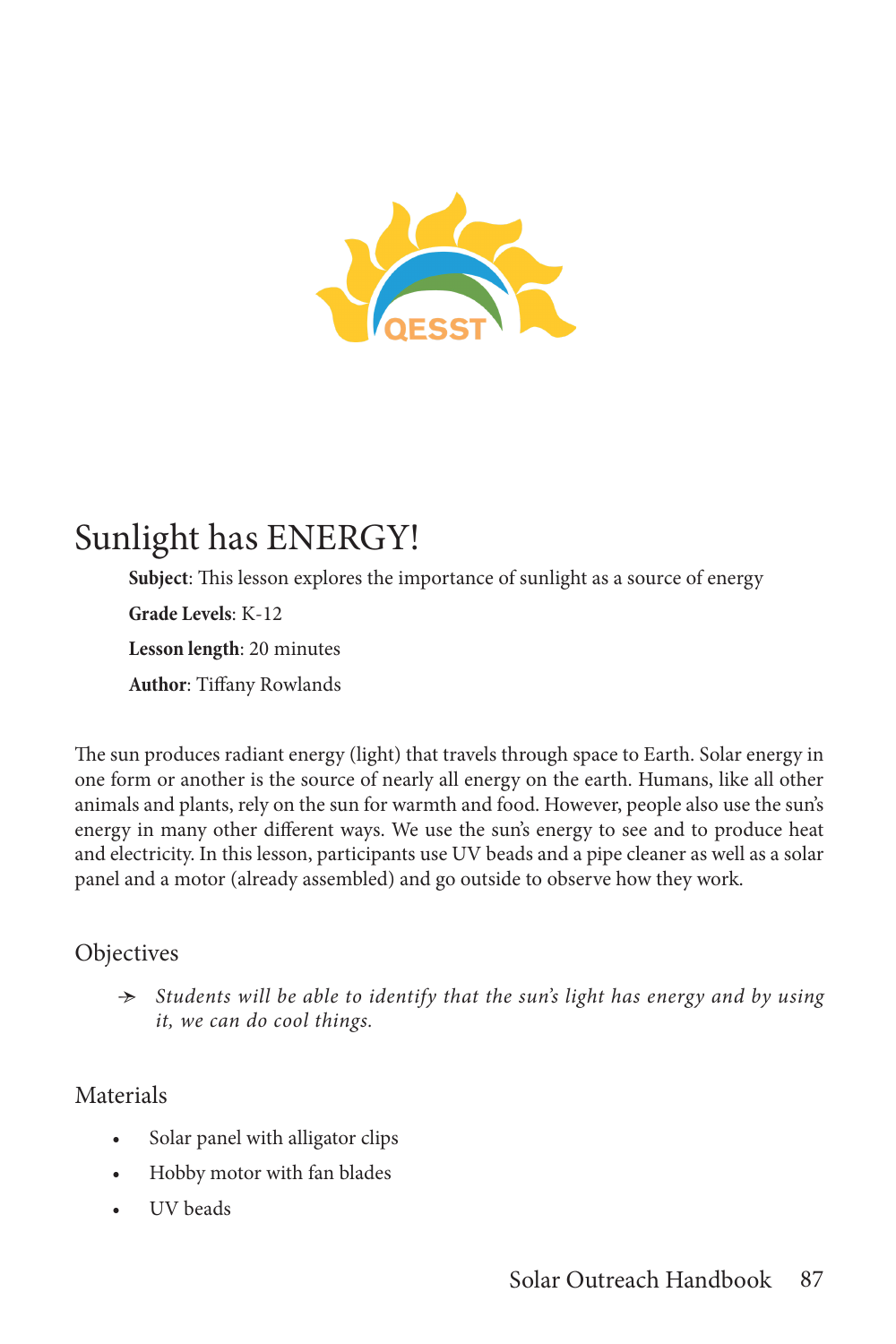

# Sunlight has ENERGY!

**Subject**: This lesson explores the importance of sunlight as a source of energy **Grade Levels**: K-12 **Lesson length**: 20 minutes **Author**: Tiffany Rowlands

The sun produces radiant energy (light) that travels through space to Earth. Solar energy in one form or another is the source of nearly all energy on the earth. Humans, like all other animals and plants, rely on the sun for warmth and food. However, people also use the sun's energy in many other different ways. We use the sun's energy to see and to produce heat and electricity. In this lesson, participants use UV beads and a pipe cleaner as well as a solar panel and a motor (already assembled) and go outside to observe how they work.

## **Objectives**

Ӻ *Students will be able to identify that the sun's light has energy and by using it, we can do cool things.*

## Materials

- Solar panel with alligator clips
- Hobby motor with fan blades
- UV beads